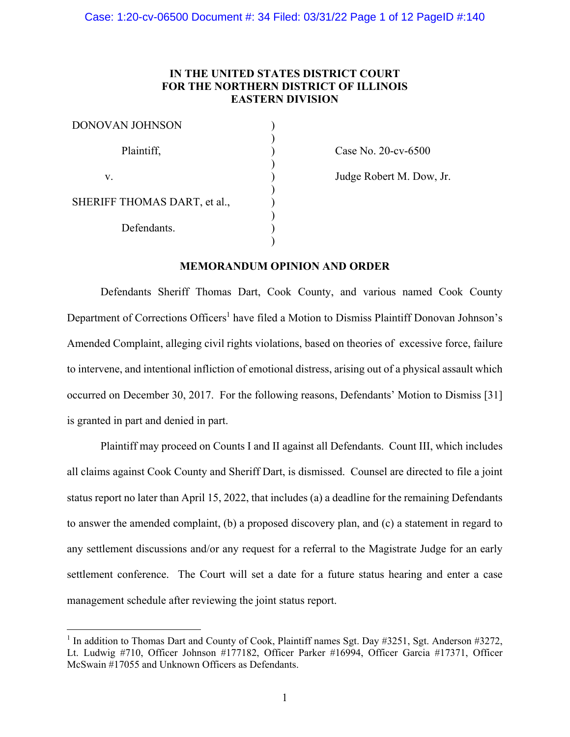# **IN THE UNITED STATES DISTRICT COURT FOR THE NORTHERN DISTRICT OF ILLINOIS EASTERN DIVISION**

)

)

) )

) )

| <b>DONOVAN JOHNSON</b>       |  |
|------------------------------|--|
| Plaintiff,                   |  |
| V.                           |  |
| SHERIFF THOMAS DART, et al., |  |
| Defendants.                  |  |

Case No. 20-cv-6500

Judge Robert M. Dow, Jr.

# **MEMORANDUM OPINION AND ORDER**

Defendants Sheriff Thomas Dart, Cook County, and various named Cook County Department of Corrections Officers<sup>1</sup> have filed a Motion to Dismiss Plaintiff Donovan Johnson's Amended Complaint, alleging civil rights violations, based on theories of excessive force, failure to intervene, and intentional infliction of emotional distress, arising out of a physical assault which occurred on December 30, 2017. For the following reasons, Defendants' Motion to Dismiss [31] is granted in part and denied in part.

Plaintiff may proceed on Counts I and II against all Defendants. Count III, which includes all claims against Cook County and Sheriff Dart, is dismissed. Counsel are directed to file a joint status report no later than April 15, 2022, that includes (a) a deadline for the remaining Defendants to answer the amended complaint, (b) a proposed discovery plan, and (c) a statement in regard to any settlement discussions and/or any request for a referral to the Magistrate Judge for an early settlement conference. The Court will set a date for a future status hearing and enter a case management schedule after reviewing the joint status report.

<sup>&</sup>lt;sup>1</sup> In addition to Thomas Dart and County of Cook, Plaintiff names Sgt. Day #3251, Sgt. Anderson #3272, Lt. Ludwig #710, Officer Johnson #177182, Officer Parker #16994, Officer Garcia #17371, Officer McSwain #17055 and Unknown Officers as Defendants.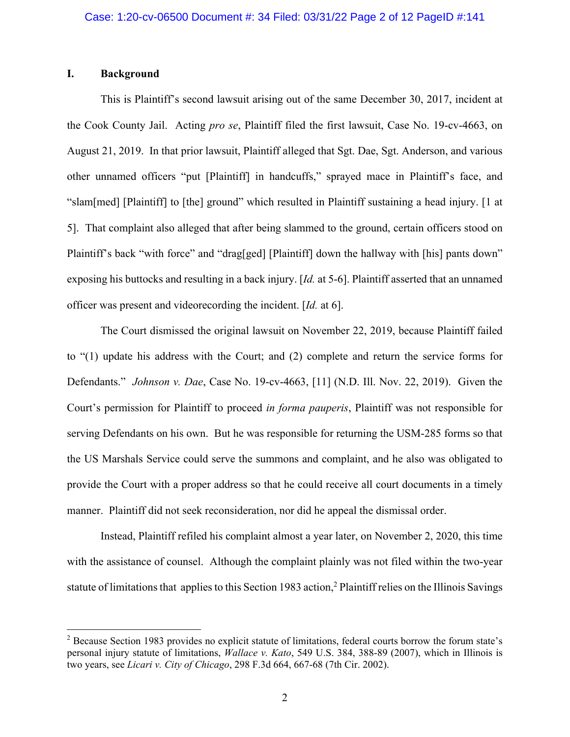## **I. Background**

This is Plaintiff's second lawsuit arising out of the same December 30, 2017, incident at the Cook County Jail. Acting *pro se*, Plaintiff filed the first lawsuit, Case No. 19-cv-4663, on August 21, 2019. In that prior lawsuit, Plaintiff alleged that Sgt. Dae, Sgt. Anderson, and various other unnamed officers "put [Plaintiff] in handcuffs," sprayed mace in Plaintiff's face, and "slam[med] [Plaintiff] to [the] ground" which resulted in Plaintiff sustaining a head injury. [1 at 5]. That complaint also alleged that after being slammed to the ground, certain officers stood on Plaintiff's back "with force" and "drag[ged] [Plaintiff] down the hallway with [his] pants down" exposing his buttocks and resulting in a back injury. [*Id.* at 5-6]. Plaintiff asserted that an unnamed officer was present and videorecording the incident. [*Id.* at 6].

The Court dismissed the original lawsuit on November 22, 2019, because Plaintiff failed to "(1) update his address with the Court; and (2) complete and return the service forms for Defendants." *Johnson v. Dae*, Case No. 19-cv-4663, [11] (N.D. Ill. Nov. 22, 2019). Given the Court's permission for Plaintiff to proceed *in forma pauperis*, Plaintiff was not responsible for serving Defendants on his own. But he was responsible for returning the USM-285 forms so that the US Marshals Service could serve the summons and complaint, and he also was obligated to provide the Court with a proper address so that he could receive all court documents in a timely manner. Plaintiff did not seek reconsideration, nor did he appeal the dismissal order.

Instead, Plaintiff refiled his complaint almost a year later, on November 2, 2020, this time with the assistance of counsel. Although the complaint plainly was not filed within the two-year statute of limitations that applies to this Section 1983 action,<sup>2</sup> Plaintiff relies on the Illinois Savings

<sup>&</sup>lt;sup>2</sup> Because Section 1983 provides no explicit statute of limitations, federal courts borrow the forum state's personal injury statute of limitations, *Wallace v. Kato*, 549 U.S. 384, 388-89 (2007), which in Illinois is two years, see *Licari v. City of Chicago*, 298 F.3d 664, 667-68 (7th Cir. 2002).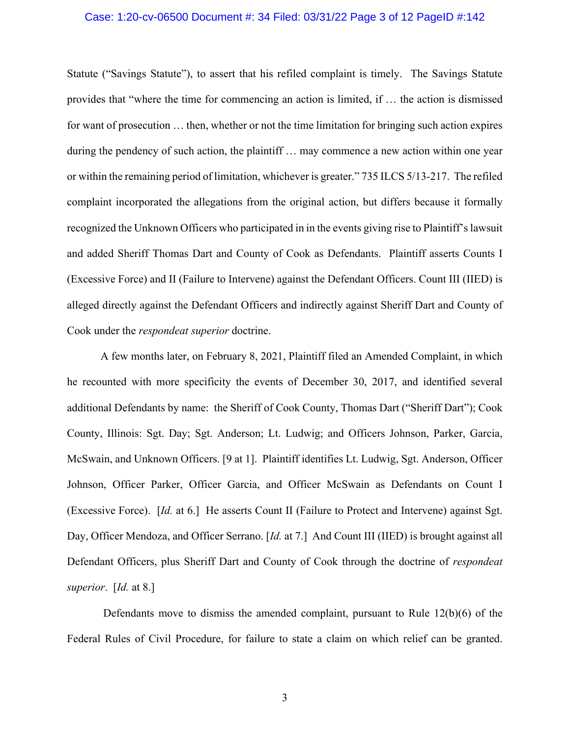## Case: 1:20-cv-06500 Document #: 34 Filed: 03/31/22 Page 3 of 12 PageID #:142

Statute ("Savings Statute"), to assert that his refiled complaint is timely. The Savings Statute provides that "where the time for commencing an action is limited, if … the action is dismissed for want of prosecution … then, whether or not the time limitation for bringing such action expires during the pendency of such action, the plaintiff … may commence a new action within one year or within the remaining period of limitation, whichever is greater." 735 ILCS 5/13-217. The refiled complaint incorporated the allegations from the original action, but differs because it formally recognized the Unknown Officers who participated in in the events giving rise to Plaintiff's lawsuit and added Sheriff Thomas Dart and County of Cook as Defendants. Plaintiff asserts Counts I (Excessive Force) and II (Failure to Intervene) against the Defendant Officers. Count III (IIED) is alleged directly against the Defendant Officers and indirectly against Sheriff Dart and County of Cook under the *respondeat superior* doctrine.

A few months later, on February 8, 2021, Plaintiff filed an Amended Complaint, in which he recounted with more specificity the events of December 30, 2017, and identified several additional Defendants by name: the Sheriff of Cook County, Thomas Dart ("Sheriff Dart"); Cook County, Illinois: Sgt. Day; Sgt. Anderson; Lt. Ludwig; and Officers Johnson, Parker, Garcia, McSwain, and Unknown Officers. [9 at 1]. Plaintiff identifies Lt. Ludwig, Sgt. Anderson, Officer Johnson, Officer Parker, Officer Garcia, and Officer McSwain as Defendants on Count I (Excessive Force). [*Id.* at 6.] He asserts Count II (Failure to Protect and Intervene) against Sgt. Day, Officer Mendoza, and Officer Serrano. [*Id.* at 7.] And Count III (IIED) is brought against all Defendant Officers, plus Sheriff Dart and County of Cook through the doctrine of *respondeat superior*. [*Id.* at 8.]

Defendants move to dismiss the amended complaint, pursuant to Rule  $12(b)(6)$  of the Federal Rules of Civil Procedure, for failure to state a claim on which relief can be granted.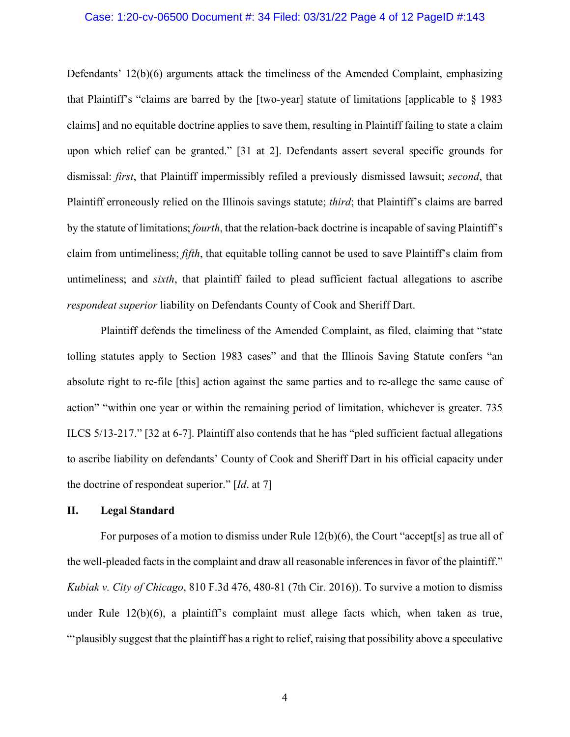## Case: 1:20-cv-06500 Document #: 34 Filed: 03/31/22 Page 4 of 12 PageID #:143

Defendants' 12(b)(6) arguments attack the timeliness of the Amended Complaint, emphasizing that Plaintiff's "claims are barred by the [two-year] statute of limitations [applicable to § 1983 claims] and no equitable doctrine applies to save them, resulting in Plaintiff failing to state a claim upon which relief can be granted." [31 at 2]. Defendants assert several specific grounds for dismissal: *first*, that Plaintiff impermissibly refiled a previously dismissed lawsuit; *second*, that Plaintiff erroneously relied on the Illinois savings statute; *third*; that Plaintiff's claims are barred by the statute of limitations; *fourth*, that the relation-back doctrine is incapable of saving Plaintiff's claim from untimeliness; *fifth*, that equitable tolling cannot be used to save Plaintiff's claim from untimeliness; and *sixth*, that plaintiff failed to plead sufficient factual allegations to ascribe *respondeat superior* liability on Defendants County of Cook and Sheriff Dart.

Plaintiff defends the timeliness of the Amended Complaint, as filed, claiming that "state tolling statutes apply to Section 1983 cases" and that the Illinois Saving Statute confers "an absolute right to re-file [this] action against the same parties and to re-allege the same cause of action" "within one year or within the remaining period of limitation, whichever is greater. 735 ILCS 5/13-217." [32 at 6-7]. Plaintiff also contends that he has "pled sufficient factual allegations to ascribe liability on defendants' County of Cook and Sheriff Dart in his official capacity under the doctrine of respondeat superior." [*Id*. at 7]

## **II. Legal Standard**

For purposes of a motion to dismiss under Rule 12(b)(6), the Court "accept[s] as true all of the well-pleaded facts in the complaint and draw all reasonable inferences in favor of the plaintiff." *Kubiak v. City of Chicago*, 810 F.3d 476, 480-81 (7th Cir. 2016)). To survive a motion to dismiss under Rule 12(b)(6), a plaintiff's complaint must allege facts which, when taken as true, "'plausibly suggest that the plaintiff has a right to relief, raising that possibility above a speculative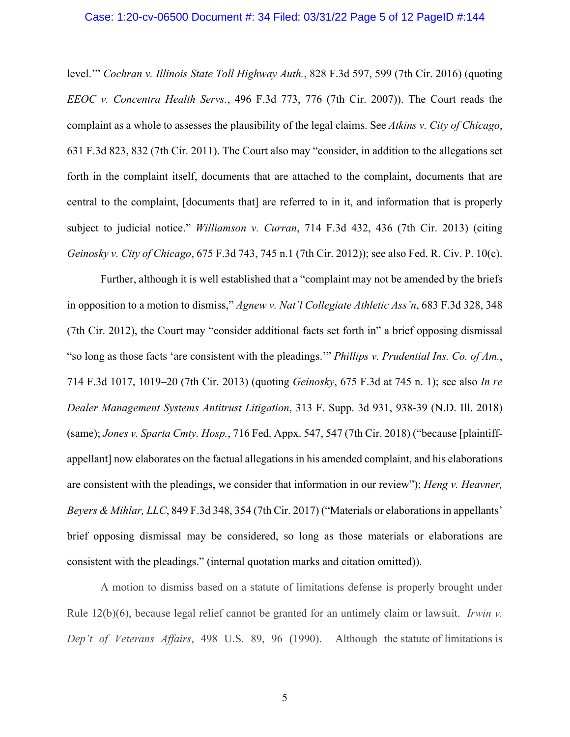## Case: 1:20-cv-06500 Document #: 34 Filed: 03/31/22 Page 5 of 12 PageID #:144

level.'" *Cochran v. Illinois State Toll Highway Auth.*, 828 F.3d 597, 599 (7th Cir. 2016) (quoting *EEOC v. Concentra Health Servs.*, 496 F.3d 773, 776 (7th Cir. 2007)). The Court reads the complaint as a whole to assesses the plausibility of the legal claims. See *Atkins v. City of Chicago*, 631 F.3d 823, 832 (7th Cir. 2011). The Court also may "consider, in addition to the allegations set forth in the complaint itself, documents that are attached to the complaint, documents that are central to the complaint, [documents that] are referred to in it, and information that is properly subject to judicial notice." *Williamson v. Curran*, 714 F.3d 432, 436 (7th Cir. 2013) (citing *Geinosky v. City of Chicago*, 675 F.3d 743, 745 n.1 (7th Cir. 2012)); see also Fed. R. Civ. P. 10(c).

Further, although it is well established that a "complaint may not be amended by the briefs in opposition to a motion to dismiss," *Agnew v. Nat'l Collegiate Athletic Ass'n*, 683 F.3d 328, 348 (7th Cir. 2012), the Court may "consider additional facts set forth in" a brief opposing dismissal "so long as those facts 'are consistent with the pleadings.'" *Phillips v. Prudential Ins. Co. of Am.*, 714 F.3d 1017, 1019–20 (7th Cir. 2013) (quoting *Geinosky*, 675 F.3d at 745 n. 1); see also *In re Dealer Management Systems Antitrust Litigation*, 313 F. Supp. 3d 931, 938-39 (N.D. Ill. 2018) (same); *Jones v. Sparta Cmty. Hosp.*, 716 Fed. Appx. 547, 547 (7th Cir. 2018) ("because [plaintiffappellant] now elaborates on the factual allegations in his amended complaint, and his elaborations are consistent with the pleadings, we consider that information in our review"); *Heng v. Heavner, Beyers & Mihlar, LLC*, 849 F.3d 348, 354 (7th Cir. 2017) ("Materials or elaborations in appellants' brief opposing dismissal may be considered, so long as those materials or elaborations are consistent with the pleadings." (internal quotation marks and citation omitted)).

A motion to dismiss based on a statute of limitations defense is properly brought under Rule 12(b)(6), because legal relief cannot be granted for an untimely claim or lawsuit. *Irwin v. Dep't of Veterans Affairs*, 498 U.S. 89, 96 (1990). Although the statute of limitations is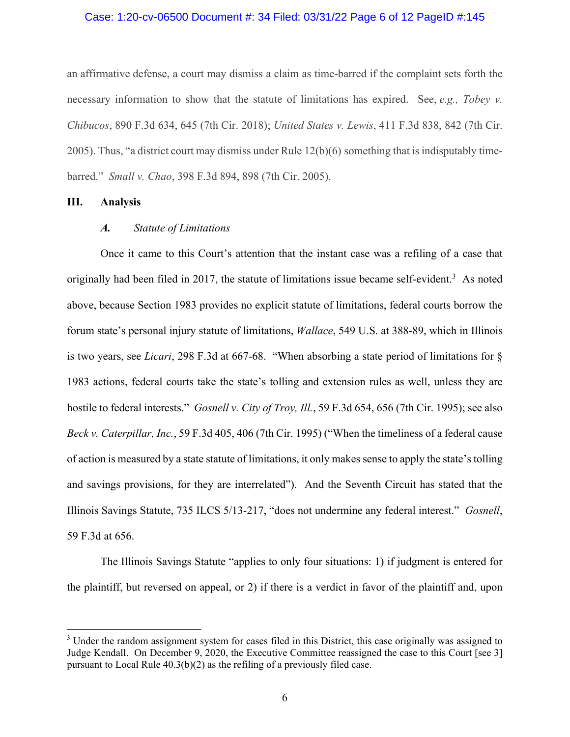## Case: 1:20-cv-06500 Document #: 34 Filed: 03/31/22 Page 6 of 12 PageID #:145

an affirmative defense, a court may dismiss a claim as time-barred if the complaint sets forth the necessary information to show that the statute of limitations has expired. See, *e.g., Tobey v. Chibucos*, 890 F.3d 634, 645 (7th Cir. 2018); *United States v. Lewis*, 411 F.3d 838, 842 (7th Cir. 2005). Thus, "a district court may dismiss under Rule 12(b)(6) something that is indisputably timebarred." *Small v. Chao*, 398 F.3d 894, 898 (7th Cir. 2005).

## **III. Analysis**

## *A. Statute of Limitations*

Once it came to this Court's attention that the instant case was a refiling of a case that originally had been filed in 2017, the statute of limitations issue became self-evident.<sup>3</sup> As noted above, because Section 1983 provides no explicit statute of limitations, federal courts borrow the forum state's personal injury statute of limitations, *Wallace*, 549 U.S. at 388-89, which in Illinois is two years, see *Licari*, 298 F.3d at 667-68. "When absorbing a state period of limitations for § 1983 actions, federal courts take the state's tolling and extension rules as well, unless they are hostile to federal interests." *Gosnell v. City of Troy, Ill.*, 59 F.3d 654, 656 (7th Cir. 1995); see also *Beck v. Caterpillar, Inc.*, 59 F.3d 405, 406 (7th Cir. 1995) ("When the timeliness of a federal cause of action is measured by a state statute of limitations, it only makes sense to apply the state's tolling and savings provisions, for they are interrelated"). And the Seventh Circuit has stated that the Illinois Savings Statute, 735 ILCS 5/13-217, "does not undermine any federal interest." *Gosnell*, 59 F.3d at 656.

The Illinois Savings Statute "applies to only four situations: 1) if judgment is entered for the plaintiff, but reversed on appeal, or 2) if there is a verdict in favor of the plaintiff and, upon

<sup>&</sup>lt;sup>3</sup> Under the random assignment system for cases filed in this District, this case originally was assigned to Judge Kendall. On December 9, 2020, the Executive Committee reassigned the case to this Court [see 3] pursuant to Local Rule 40.3(b)(2) as the refiling of a previously filed case.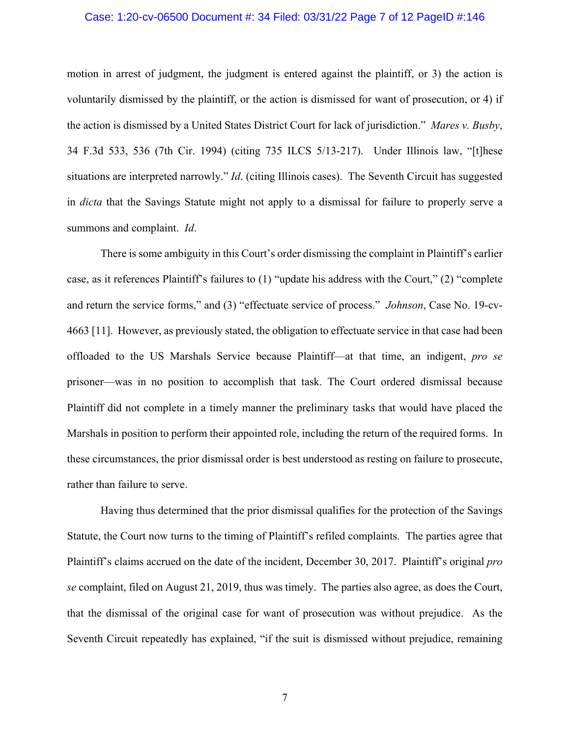## Case: 1:20-cv-06500 Document #: 34 Filed: 03/31/22 Page 7 of 12 PageID #:146

motion in arrest of judgment, the judgment is entered against the plaintiff, or 3) the action is voluntarily dismissed by the plaintiff, or the action is dismissed for want of prosecution, or 4) if the action is dismissed by a United States District Court for lack of jurisdiction." *Mares v. Busby*, 34 F.3d 533, 536 (7th Cir. 1994) (citing 735 ILCS 5/13-217). Under Illinois law, "[t]hese situations are interpreted narrowly." *Id*. (citing Illinois cases). The Seventh Circuit has suggested in *dicta* that the Savings Statute might not apply to a dismissal for failure to properly serve a summons and complaint. *Id*.

There is some ambiguity in this Court's order dismissing the complaint in Plaintiff's earlier case, as it references Plaintiff's failures to (1) "update his address with the Court," (2) "complete and return the service forms," and (3) "effectuate service of process." *Johnson*, Case No. 19-cv-4663 [11]. However, as previously stated, the obligation to effectuate service in that case had been offloaded to the US Marshals Service because Plaintiff—at that time, an indigent, *pro se* prisoner—was in no position to accomplish that task. The Court ordered dismissal because Plaintiff did not complete in a timely manner the preliminary tasks that would have placed the Marshals in position to perform their appointed role, including the return of the required forms. In these circumstances, the prior dismissal order is best understood as resting on failure to prosecute, rather than failure to serve.

Having thus determined that the prior dismissal qualifies for the protection of the Savings Statute, the Court now turns to the timing of Plaintiff's refiled complaints. The parties agree that Plaintiff's claims accrued on the date of the incident, December 30, 2017. Plaintiff's original *pro se* complaint, filed on August 21, 2019, thus was timely. The parties also agree, as does the Court, that the dismissal of the original case for want of prosecution was without prejudice. As the Seventh Circuit repeatedly has explained, "if the suit is dismissed without prejudice, remaining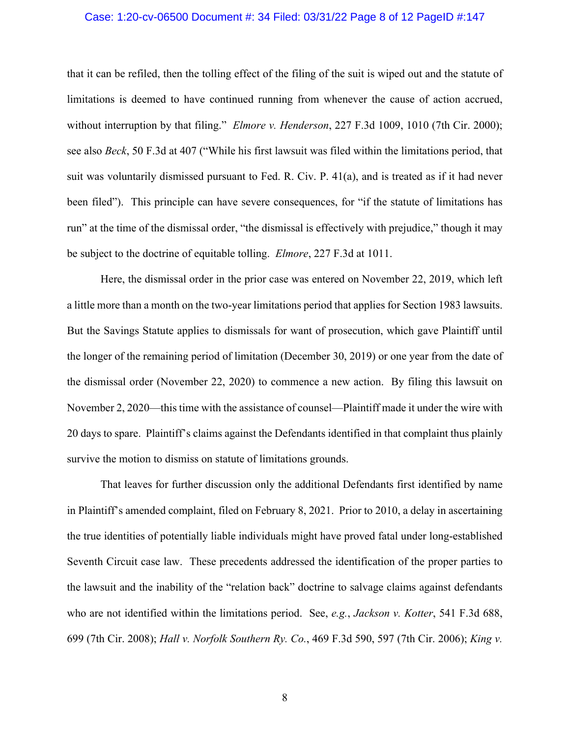## Case: 1:20-cv-06500 Document #: 34 Filed: 03/31/22 Page 8 of 12 PageID #:147

that it can be refiled, then the tolling effect of the filing of the suit is wiped out and the statute of limitations is deemed to have continued running from whenever the cause of action accrued, without interruption by that filing." *Elmore v. Henderson*, 227 F.3d 1009, 1010 (7th Cir. 2000); see also *Beck*, 50 F.3d at 407 ("While his first lawsuit was filed within the limitations period, that suit was voluntarily dismissed pursuant to Fed. R. Civ. P. 41(a), and is treated as if it had never been filed"). This principle can have severe consequences, for "if the statute of limitations has run" at the time of the dismissal order, "the dismissal is effectively with prejudice," though it may be subject to the doctrine of equitable tolling. *Elmore*, 227 F.3d at 1011.

Here, the dismissal order in the prior case was entered on November 22, 2019, which left a little more than a month on the two-year limitations period that applies for Section 1983 lawsuits. But the Savings Statute applies to dismissals for want of prosecution, which gave Plaintiff until the longer of the remaining period of limitation (December 30, 2019) or one year from the date of the dismissal order (November 22, 2020) to commence a new action. By filing this lawsuit on November 2, 2020—this time with the assistance of counsel—Plaintiff made it under the wire with 20 days to spare. Plaintiff's claims against the Defendants identified in that complaint thus plainly survive the motion to dismiss on statute of limitations grounds.

That leaves for further discussion only the additional Defendants first identified by name in Plaintiff's amended complaint, filed on February 8, 2021. Prior to 2010, a delay in ascertaining the true identities of potentially liable individuals might have proved fatal under long-established Seventh Circuit case law. These precedents addressed the identification of the proper parties to the lawsuit and the inability of the "relation back" doctrine to salvage claims against defendants who are not identified within the limitations period. See, *e.g.*, *Jackson v. Kotter*, 541 F.3d 688, 699 (7th Cir. 2008); *Hall v. Norfolk Southern Ry. Co.*, 469 F.3d 590, 597 (7th Cir. 2006); *King v.*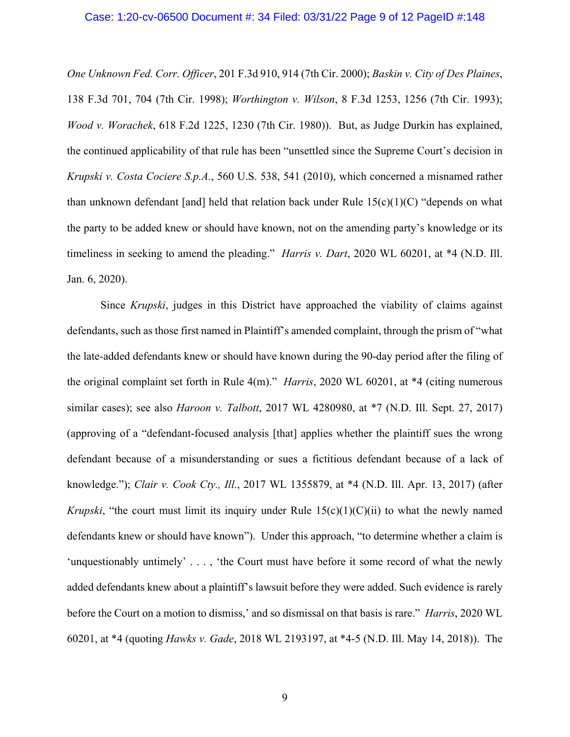### Case: 1:20-cv-06500 Document #: 34 Filed: 03/31/22 Page 9 of 12 PageID #:148

*One Unknown Fed. Corr. Officer*, 201 F.3d 910, 914 (7th Cir. 2000); *Baskin v. City of Des Plaines*, 138 F.3d 701, 704 (7th Cir. 1998); *Worthington v. Wilson*, 8 F.3d 1253, 1256 (7th Cir. 1993); *Wood v. Worachek*, 618 F.2d 1225, 1230 (7th Cir. 1980)). But, as Judge Durkin has explained, the continued applicability of that rule has been "unsettled since the Supreme Court's decision in *Krupski v. Costa Cociere S.p.A.*, 560 U.S. 538, 541 (2010), which concerned a misnamed rather than unknown defendant [and] held that relation back under Rule  $15(c)(1)(C)$  "depends on what the party to be added knew or should have known, not on the amending party's knowledge or its timeliness in seeking to amend the pleading." *Harris v. Dart*, 2020 WL 60201, at \*4 (N.D. Ill. Jan. 6, 2020).

Since *Krupski*, judges in this District have approached the viability of claims against defendants, such as those first named in Plaintiff's amended complaint, through the prism of "what the late-added defendants knew or should have known during the 90-day period after the filing of the original complaint set forth in Rule 4(m)." *Harris*, 2020 WL 60201, at \*4 (citing numerous similar cases); see also *Haroon v. Talbott*, 2017 WL 4280980, at \*7 (N.D. Ill. Sept. 27, 2017) (approving of a "defendant-focused analysis [that] applies whether the plaintiff sues the wrong defendant because of a misunderstanding or sues a fictitious defendant because of a lack of knowledge."); *Clair v. Cook Cty., Ill.*, 2017 WL 1355879, at \*4 (N.D. Ill. Apr. 13, 2017) (after *Krupski*, "the court must limit its inquiry under Rule  $15(c)(1)(C)(ii)$  to what the newly named defendants knew or should have known"). Under this approach, "to determine whether a claim is 'unquestionably untimely' . . . , 'the Court must have before it some record of what the newly added defendants knew about a plaintiff's lawsuit before they were added. Such evidence is rarely before the Court on a motion to dismiss,' and so dismissal on that basis is rare." *Harris*, 2020 WL 60201, at \*4 (quoting *Hawks v. Gade*, 2018 WL 2193197, at \*4-5 (N.D. Ill. May 14, 2018)). The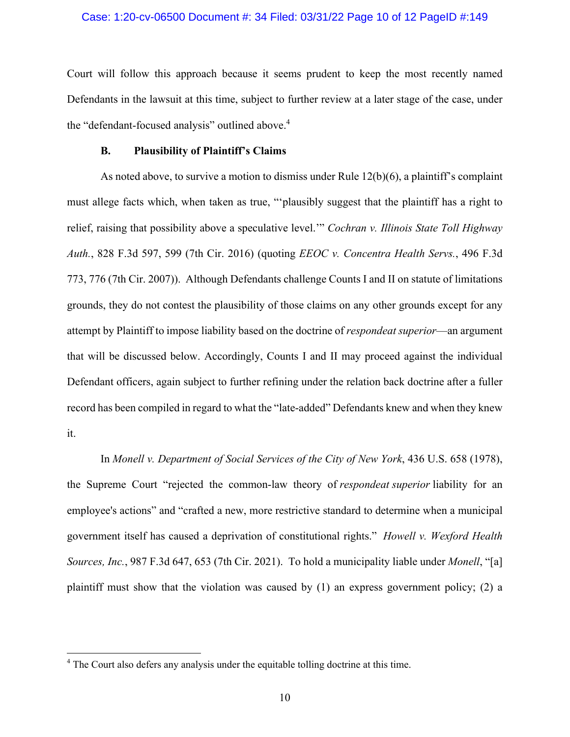## Case: 1:20-cv-06500 Document #: 34 Filed: 03/31/22 Page 10 of 12 PageID #:149

Court will follow this approach because it seems prudent to keep the most recently named Defendants in the lawsuit at this time, subject to further review at a later stage of the case, under the "defendant-focused analysis" outlined above.<sup>4</sup>

## **B. Plausibility of Plaintiff's Claims**

As noted above, to survive a motion to dismiss under Rule 12(b)(6), a plaintiff's complaint must allege facts which, when taken as true, "'plausibly suggest that the plaintiff has a right to relief, raising that possibility above a speculative level.'" *Cochran v. Illinois State Toll Highway Auth.*, 828 F.3d 597, 599 (7th Cir. 2016) (quoting *EEOC v. Concentra Health Servs.*, 496 F.3d 773, 776 (7th Cir. 2007)). Although Defendants challenge Counts I and II on statute of limitations grounds, they do not contest the plausibility of those claims on any other grounds except for any attempt by Plaintiff to impose liability based on the doctrine of *respondeat superior*—an argument that will be discussed below. Accordingly, Counts I and II may proceed against the individual Defendant officers, again subject to further refining under the relation back doctrine after a fuller record has been compiled in regard to what the "late-added" Defendants knew and when they knew it.

In *Monell v. Department of Social Services of the City of New York*, 436 U.S. 658 (1978), the Supreme Court "rejected the common-law theory of *respondeat superior* liability for an employee's actions" and "crafted a new, more restrictive standard to determine when a municipal government itself has caused a deprivation of constitutional rights." *Howell v. Wexford Health Sources, Inc.*, 987 F.3d 647, 653 (7th Cir. 2021). To hold a municipality liable under *Monell*, "[a] plaintiff must show that the violation was caused by  $(1)$  an express government policy;  $(2)$  a

<sup>&</sup>lt;sup>4</sup> The Court also defers any analysis under the equitable tolling doctrine at this time.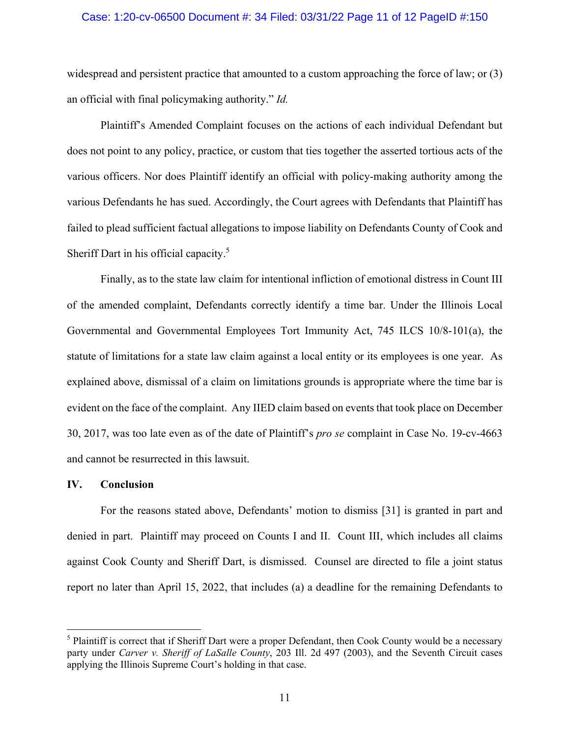## Case: 1:20-cv-06500 Document #: 34 Filed: 03/31/22 Page 11 of 12 PageID #:150

widespread and persistent practice that amounted to a custom approaching the force of law; or (3) an official with final policymaking authority." *Id.*

Plaintiff's Amended Complaint focuses on the actions of each individual Defendant but does not point to any policy, practice, or custom that ties together the asserted tortious acts of the various officers. Nor does Plaintiff identify an official with policy-making authority among the various Defendants he has sued. Accordingly, the Court agrees with Defendants that Plaintiff has failed to plead sufficient factual allegations to impose liability on Defendants County of Cook and Sheriff Dart in his official capacity.<sup>5</sup>

Finally, as to the state law claim for intentional infliction of emotional distress in Count III of the amended complaint, Defendants correctly identify a time bar. Under the Illinois Local Governmental and Governmental Employees Tort Immunity Act, 745 ILCS 10/8-101(a), the statute of limitations for a state law claim against a local entity or its employees is one year. As explained above, dismissal of a claim on limitations grounds is appropriate where the time bar is evident on the face of the complaint. Any IIED claim based on events that took place on December 30, 2017, was too late even as of the date of Plaintiff's *pro se* complaint in Case No. 19-cv-4663 and cannot be resurrected in this lawsuit.

## **IV. Conclusion**

For the reasons stated above, Defendants' motion to dismiss [31] is granted in part and denied in part. Plaintiff may proceed on Counts I and II. Count III, which includes all claims against Cook County and Sheriff Dart, is dismissed. Counsel are directed to file a joint status report no later than April 15, 2022, that includes (a) a deadline for the remaining Defendants to

<sup>&</sup>lt;sup>5</sup> Plaintiff is correct that if Sheriff Dart were a proper Defendant, then Cook County would be a necessary party under *Carver v. Sheriff of LaSalle County*, 203 Ill. 2d 497 (2003), and the Seventh Circuit cases applying the Illinois Supreme Court's holding in that case.